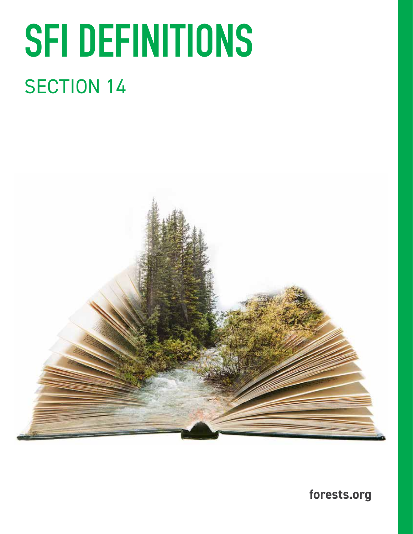# **SFI DEFINITIONS** SECTION 14



**forests.org**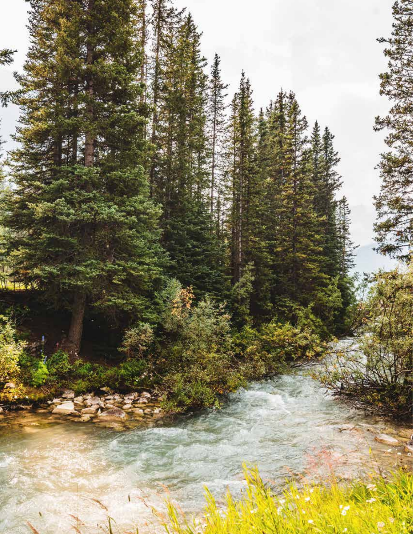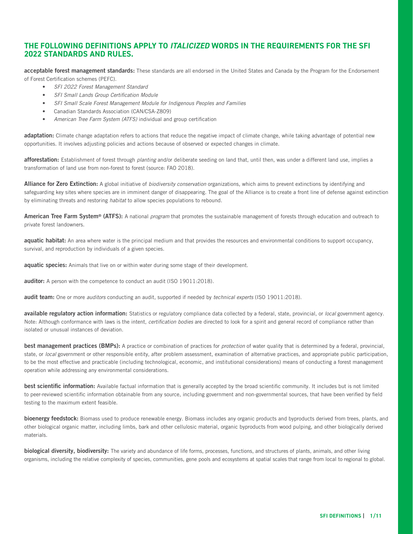### **THE FOLLOWING DEFINITIONS APPLY TO** *ITALICIZED* **WORDS IN THE REQUIREMENTS FOR THE SFI 2022 STANDARDS AND RULES.**

acceptable forest management standards: These standards are all endorsed in the United States and Canada by the Program for the Endorsement of Forest Certification schemes (PEFC).

- *SFI 2022 Forest Management Standard*
- SFI Small Lands Group Certification Module
- *SFI Small Scale Forest Management Module for Indigenous Peoples and Families*
- Canadian Standards Association (CAN/CSA-Z809)
- *American Tree Farm System (ATFS)* individual and group certification

adaptation: Climate change adaptation refers to actions that reduce the negative impact of climate change, while taking advantage of potential new opportunities. It involves adjusting policies and actions because of observed or expected changes in climate.

afforestation: Establishment of forest through *planting* and/or deliberate seeding on land that, until then, was under a different land use, implies a transformation of land use from non-forest to forest (source: FAO 2018).

Alliance for Zero Extinction: A global initiative of *biodiversity conservation* organizations, which aims to prevent extinctions by identifying and safeguarding key sites where species are in imminent danger of disappearing. The goal of the Alliance is to create a front line of defense against extinction by eliminating threats and restoring *habitat* to allow species populations to rebound.

American Tree Farm System® (ATFS): A national *program* that promotes the sustainable management of forests through education and outreach to private forest landowners.

aquatic habitat: An area where water is the principal medium and that provides the resources and environmental conditions to support occupancy, survival, and reproduction by individuals of a given species.

**aquatic species:** Animals that live on or within water during some stage of their development.

auditor: A person with the competence to conduct an audit (ISO 19011:2018).

audit team: One or more *auditors* conducting an audit, supported if needed by *technical experts* (ISO 19011:2018).

available regulatory action information: Statistics or regulatory compliance data collected by a federal, state, provincial, or *local* government agency. Note: Although conformance with laws is the intent, certification bodies are directed to look for a spirit and general record of compliance rather than isolated or unusual instances of deviation.

best management practices (BMPs): A practice or combination of practices for *protection* of water quality that is determined by a federal, provincial, state, or *local* government or other responsible entity, after problem assessment, examination of alternative practices, and appropriate public participation, to be the most effective and practicable (including technological, economic, and institutional considerations) means of conducting a forest management operation while addressing any environmental considerations.

best scientific information: Available factual information that is generally accepted by the broad scientific community. It includes but is not limited to peer-reviewed scientific information obtainable from any source, including government and non-governmental sources, that have been verified by field testing to the maximum extent feasible.

bioenergy feedstock: Biomass used to produce renewable energy. Biomass includes any organic products and byproducts derived from trees, plants, and other biological organic matter, including limbs, bark and other cellulosic material, organic byproducts from wood pulping, and other biologically derived materials.

biological diversity, biodiversity: The variety and abundance of life forms, processes, functions, and structures of plants, animals, and other living organisms, including the relative complexity of species, communities, gene pools and ecosystems at spatial scales that range from local to regional to global.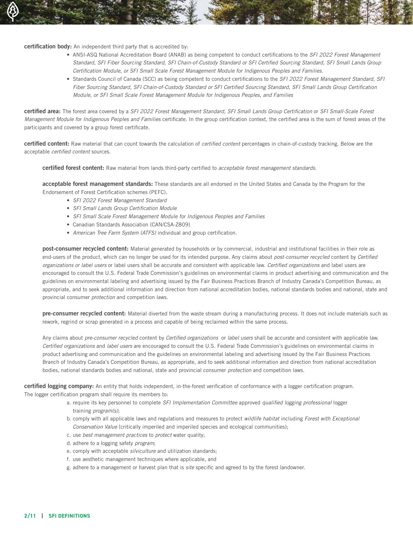certification body: An independent third party that is accredited by:

- ANSI-ASQ National Accreditation Board (ANAB) as being competent to conduct certifications to the *SFI 2022 Forest Management*  Standard, SFI Fiber Sourcing Standard, SFI Chain-of-Custody Standard or SFI Certified Sourcing Standard, SFI Small Lands Group Certification Module, or SFI Small Scale Forest Management Module for Indigenous Peoples and Families.
- Standards Council of Canada (SCC) as being competent to conduct certifications to the *SFI 2022 Forest Management Standard, SFI*  Fiber Sourcing Standard, SFI Chain-of-Custody Standard or SFI Certified Sourcing Standard, SFI Small Lands Group Certification *Module, or SFI Small Scale Forest Management Module for Indigenous Peoples, and Families*

certified area: The forest area covered by a SFI 2022 Forest Management Standard, SFI Small Lands Group Certification or *SFI Small-Scale Forest Management Module for Indigenous Peoples and Families* certificate. In the group certification context, the certified area is the sum of forest areas of the participants and covered by a group forest certificate.

certified content: Raw material that can count towards the calculation of certified content percentages in chain-of-custody tracking. Below are the acceptable certified content sources.

certified forest content: Raw material from lands third-party certified to *acceptable forest management standards.*

acceptable forest management standards: These standards are all endorsed in the United States and Canada by the Program for the Endorsement of Forest Certification schemes (PEFC).

- *SFI 2022 Forest Management Standard*
- SFI Small Lands Group Certification Module
- *SFI Small Scale Forest Management Module for Indigenous Peoples and Families*
- Canadian Standards Association (CAN/CSA-Z809)
- *American Tree Farm System (ATFS)* individual and group certification.

post-consumer recycled content: Material generated by households or by commercial, industrial and institutional facilities in their role as end-users of the product, which can no longer be used for its intended purpose. Any claims about *post-consumer recycled* content by Certified organizations or label users or label users shall be accurate and consistent with applicable law. Certified organizations and label users are encouraged to consult the U.S. Federal Trade Commission's guidelines on environmental claims in product advertising and communication and the guidelines on environmental labeling and advertising issued by the Fair Business Practices Branch of Industry Canada's Competition Bureau, as appropriate, and to seek additional information and direction from national accreditation bodies, national standards bodies and national, state and provincial consumer *protection* and competition laws.

pre-consumer recycled content: Material diverted from the waste stream during a manufacturing process. It does not include materials such as rework, regrind or scrap generated in a process and capable of being reclaimed within the same process.

Any claims about *pre-consumer recycled* content by Certified organizations or *label users* shall be accurate and consistent with applicable law. Certified organizations and *label users* are encouraged to consult the U.S. Federal Trade Commission's guidelines on environmental claims in product advertising and communication and the guidelines on environmental labeling and advertising issued by the Fair Business Practices Branch of Industry Canada's Competition Bureau, as appropriate, and to seek additional information and direction from national accreditation bodies, national standards bodies and national, state and provincial consumer *protection* and competition laws.

certified logging company: An entity that holds independent, in-the-forest verification of conformance with a logger certification program. The logger certification program shall require its members to:

- a. require its key personnel to complete *SFI Implementation Committee* approved qualified logging professional logger training *program(s)*;
- b. comply with all applicable laws and regulations and measures to protect *wildlife habitat* including *Forest with Exceptional Conservation Value* (critically imperiled and imperiled species and ecological communities);
- c. use *best management practices* to *protect* water quality;
- d. adhere to a logging safety *program*;
- e. comply with acceptable *silviculture* and utilization standards;
- f. use aesthetic management techniques where applicable, and
- g. adhere to a management or harvest plan that is *site* specific and agreed to by the forest landowner.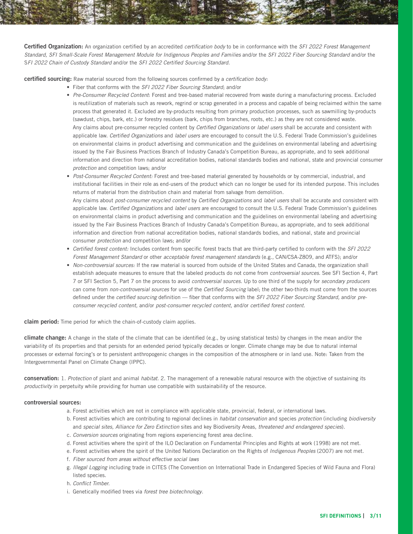Certified Organization: An organization certified by an accredited certification body to be in conformance with the *SFI 2022 Forest Management*  Standard, SFI Small-Scale Forest Management Module for Indigenous Peoples and Families and/or the *SFI 2022 Fiber Sourcing Standard* and/or the S*FI 2022 Chain of Custody Standard* and/or the SFI 2022 Certified Sourcing Standard.

certified sourcing: Raw material sourced from the following sources confirmed by a *certification body:* 

- Fiber that conforms with the *SFI 2022 Fiber Sourcing Standard*; and/or
- *Pre-Consumer Recycled Content*: Forest and tree-based material recovered from waste during a manufacturing process. Excluded is reutilization of materials such as rework, regrind or scrap generated in a process and capable of being reclaimed within the same process that generated it. Excluded are by-products resulting from primary production processes, such as sawmilling by-products (sawdust, chips, bark, etc.) or forestry residues (bark, chips from branches, roots, etc.) as they are not considered waste. Any claims about pre-consumer recycled content by Certified Organizations or *label users* shall be accurate and consistent with applicable law. Certified Organizations and *label users* are encouraged to consult the U.S. Federal Trade Commission's guidelines on environmental claims in product advertising and communication and the guidelines on environmental labeling and advertising issued by the Fair Business Practices Branch of Industry Canada's Competition Bureau, as appropriate, and to seek additional information and direction from national accreditation bodies, national standards bodies and national, state and provincial consumer *protection* and competition laws; and/or
- *Post-Consumer Recycled Content:* Forest and tree-based material generated by households or by commercial, industrial, and institutional facilities in their role as end-users of the product which can no longer be used for its intended purpose. This includes returns of material from the distribution chain and material from salvage from demolition. Any claims about *post-consumer recycled content* by Certified Organizations and *label users* shall be accurate and consistent with applicable law. Certified Organizations and *label users* are encouraged to consult the U.S. Federal Trade Commission's guidelines on environmental claims in product advertising and communication and the guidelines on environmental labeling and advertising issued by the Fair Business Practices Branch of Industry Canada's Competition Bureau, as appropriate, and to seek additional information and direction from national accreditation bodies, national standards bodies, and national, state and provincial consumer *protection* and competition laws; and/or
- Certified forest content: Includes content from specific forest tracts that are third-party certified to conform with the *SFI 2022 Forest Management Standard* or other *acceptable forest management standards* (e.g., CAN/CSA-Z809, and ATFS); and/or
- *Non-controversial sources:* If the raw material is sourced from outside of the United States and Canada, the organization shall establish adequate measures to ensure that the labeled products do not come from *controversial sources.* See SFI Section 4, Part 7 or SFI Section 5, Part 7 on the process to avoid *controversial sources.* Up to one third of the supply for *secondary producers*  can come from *non-controversial sources* for use of the Certified Sourcing label; the other two-thirds must come from the sources defined under the certified sourcing definition — fiber that conforms with the *SFI 2022 Fiber Sourcing Standard,* and/or *preconsumer recycled content,* and/or *post-consumer recycled content*, and/or certified forest content.

claim period: Time period for which the chain-of-custody claim applies.

climate change: A change in the state of the climate that can be identified (e.g., by using statistical tests) by changes in the mean and/or the variability of its properties and that persists for an extended period typically decades or longer. Climate change may be due to natural internal processes or external forcing's or to persistent anthropogenic changes in the composition of the atmosphere or in land use. Note: Taken from the Intergovernmental Panel on Climate Change (IPPC).

conservation: 1. *Protection* of plant and animal *habitat.* 2. The management of a renewable natural resource with the objective of sustaining its *productivity* in perpetuity while providing for human use compatible with sustainability of the resource.

#### controversial sources:

- a. Forest activities which are not in compliance with applicable state, provincial, federal, or international laws.
- b. Forest activities which are contributing to regional declines in *habitat conservation* and species *protection* (including *biodiversity*  and *special sites, Alliance for Zero Extinction* sites and key Biodiversity Areas, *threatened and endangered species*).
- c. *Conversion sources* originating from regions experiencing forest area decline.
- d. Forest activities where the spirit of the ILO Declaration on Fundamental Principles and Rights at work (1998) are not met.
- e. Forest activities where the spirit of the United Nations Declaration on the Rights of *Indigenous Peoples* (2007) are not met.
- f. *Fiber sourced from areas without effective social laws*
- g. Illegal Logging including trade in CITES (The Convention on International Trade in Endangered Species of Wild Fauna and Flora) listed species.
- h. Conflict Timber.
- i. Genetically modified trees via *forest tree biotechnology.*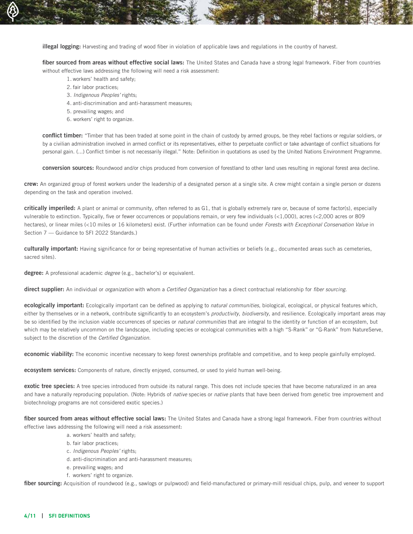illegal logging: Harvesting and trading of wood fiber in violation of applicable laws and regulations in the country of harvest.

fiber sourced from areas without effective social laws: The United States and Canada have a strong legal framework. Fiber from countries without effective laws addressing the following will need a risk assessment:

- 1. workers' health and safety;
- 2. fair labor practices;
- 3. Indigenous Peoples' rights;
- 4. anti-discrimination and anti-harassment measures;
- 5. prevailing wages; and
- 6. workers' right to organize.

conflict timber: "Timber that has been traded at some point in the chain of custody by armed groups, be they rebel factions or regular soldiers, or by a civilian administration involved in armed conflict or its representatives, either to perpetuate conflict or take advantage of conflict situations for personal gain. (...) Conflict timber is not necessarily illegal." Note: Definition in quotations as used by the United Nations Environment Programme.

conversion sources: Roundwood and/or chips produced from conversion of forestland to other land uses resulting in regional forest area decline.

crew: An organized group of forest workers under the leadership of a designated person at a single site. A crew might contain a single person or dozens depending on the task and operation involved.

critically imperiled: A plant or animal or community, often referred to as G1, that is globally extremely rare or, because of some factor(s), especially vulnerable to extinction. Typically, five or fewer occurrences or populations remain, or very few individuals (<1,000), acres (<2,000 acres or 809 hectares), or linear miles (<10 miles or 16 kilometers) exist. (Further information can be found under *Forests with Exceptional Conservation Value* in Section 7 — Guidance to SFI 2022 Standards.)

culturally important: Having significance for or being representative of human activities or beliefs (e.g., documented areas such as cemeteries, sacred sites).

degree: A professional academic *degree* (e.g., bachelor's) or equivalent.

direct supplier: An individual or organization with whom a Certified Organization has a direct contractual relationship for fiber sourcing.

ecologically important: Ecologically important can be defined as applying to *natural communities*, biological, ecological, or physical features which, either by themselves or in a network, contribute significantly to an ecosystem's *productivity*, *biodiversity,* and resilience. Ecologically important areas may be so identified by the inclusion viable occurrences of species or *natural communities* that are integral to the identity or function of an ecosystem, but which may be relatively uncommon on the landscape, including species or ecological communities with a high "S-Rank" or "G-Rank" from NatureServe, subject to the discretion of the Certified Organization.

**economic viability:** The economic incentive necessary to keep forest ownerships profitable and competitive, and to keep people gainfully employed.

ecosystem services: Components of nature, directly enjoyed, consumed, or used to yield human well-being.

exotic tree species: A tree species introduced from outside its natural range. This does not include species that have become naturalized in an area and have a naturally reproducing population. (Note: Hybrids of *native* species or *native* plants that have been derived from genetic tree improvement and biotechnology programs are not considered exotic species.)

fiber sourced from areas without effective social laws: The United States and Canada have a strong legal framework. Fiber from countries without effective laws addressing the following will need a risk assessment:

- a. workers' health and safety;
- b. fair labor practices;
- c. Indigenous Peoples' rights;
- d. anti-discrimination and anti-harassment measures;
- e. prevailing wages; and
- f. workers' right to organize.

fiber sourcing: Acquisition of roundwood (e.g., sawlogs or pulpwood) and field-manufactured or primary-mill residual chips, pulp, and veneer to support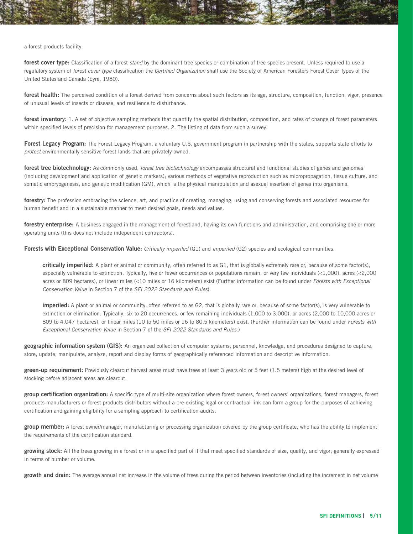#### a forest products facility.

forest cover type: Classification of a forest *stand* by the dominant tree species or combination of tree species present. Unless required to use a regulatory system of *forest cover type* classification the Certified Organization shall use the Society of American Foresters Forest Cover Types of the United States and Canada (Eyre, 1980).

forest health: The perceived condition of a forest derived from concerns about such factors as its age, structure, composition, function, vigor, presence of unusual levels of insects or disease, and resilience to disturbance.

forest inventory: 1. A set of objective sampling methods that quantify the spatial distribution, composition, and rates of change of forest parameters within specified levels of precision for management purposes. 2. The listing of data from such a survey.

Forest Legacy Program: The Forest Legacy Program, a voluntary U.S. government program in partnership with the states, supports state efforts to *protect* environmentally sensitive forest lands that are privately owned.

forest tree biotechnology: As commonly used, *forest tree biotechnology* encompasses structural and functional studies of genes and genomes (including development and application of genetic markers); various methods of vegetative reproduction such as micropropagation, tissue culture, and somatic embryogenesis; and genetic modification (GM), which is the physical manipulation and asexual insertion of genes into organisms.

forestry: The profession embracing the science, art, and practice of creating, managing, using and conserving forests and associated resources for human benefit and in a sustainable manner to meet desired goals, needs and values.

forestry enterprise: A business engaged in the management of forestland, having its own functions and administration, and comprising one or more operating units (this does not include independent contractors).

Forests with Exceptional Conservation Value: *Critically imperiled* (G1) and *imperiled* (G2) species and ecological communities.

critically imperiled: A plant or animal or community, often referred to as G1, that is globally extremely rare or, because of some factor(s), especially vulnerable to extinction. Typically, five or fewer occurrences or populations remain, or very few individuals (<1,000), acres (<2,000 acres or 809 hectares), or linear miles (<10 miles or 16 kilometers) exist (Further information can be found under *Forests with Exceptional Conservation Value* in Section 7 of the *SFI 2022 Standards and Rules*).

imperiled: A plant or animal or community, often referred to as G2, that is globally rare or, because of some factor(s), is very vulnerable to extinction or elimination. Typically, six to 20 occurrences, or few remaining individuals (1,000 to 3,000), or acres (2,000 to 10,000 acres or 809 to 4,047 hectares), or linear miles (10 to 50 miles or 16 to 80.5 kilometers) exist. (Further information can be found under *Forests with Exceptional Conservation Value* in Section 7 of the *SFI 2022 Standards and Rules*.)

geographic information system (GIS): An organized collection of computer systems, personnel, knowledge, and procedures designed to capture, store, update, manipulate, analyze, report and display forms of geographically referenced information and descriptive information.

green-up requirement: Previously clearcut harvest areas must have trees at least 3 years old or 5 feet (1.5 meters) high at the desired level of stocking before adjacent areas are clearcut.

group certification organization: A specific type of multi-site organization where forest owners, forest owners' organizations, forest managers, forest products manufacturers or forest products distributors without a pre-existing legal or contractual link can form a group for the purposes of achieving certification and gaining eligibility for a sampling approach to certification audits.

group member: A forest owner/manager, manufacturing or processing organization covered by the group certificate, who has the ability to implement the requirements of the certification standard.

growing stock: All the trees growing in a forest or in a specified part of it that meet specified standards of size, quality, and vigor; generally expressed in terms of number or volume.

growth and drain: The average annual net increase in the volume of trees during the period between inventories (including the increment in net volume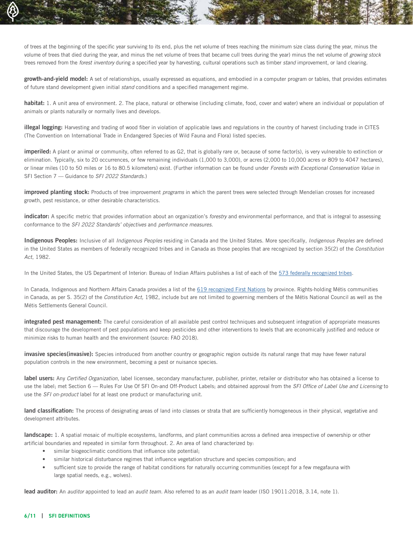of trees at the beginning of the specific year surviving to its end, plus the net volume of trees reaching the minimum size class during the year, minus the volume of trees that died during the year, and minus the net volume of trees that became cull trees during the year) minus the net volume of growing stock trees removed from the *forest inventory* during a specified year by harvesting, cultural operations such as timber *stand* improvement, or land clearing.

growth-and-yield model: A set of relationships, usually expressed as equations, and embodied in a computer program or tables, that provides estimates of future stand development given initial *stand* conditions and a specified management regime.

habitat: 1. A unit area of environment. 2. The place, natural or otherwise (including climate, food, cover and water) where an individual or population of animals or plants naturally or normally lives and develops.

illegal logging: Harvesting and trading of wood fiber in violation of applicable laws and regulations in the country of harvest (including trade in CITES (The Convention on International Trade in Endangered Species of Wild Fauna and Flora) listed species.

imperiled: A plant or animal or community, often referred to as G2, that is globally rare or, because of some factor(s), is very vulnerable to extinction or elimination. Typically, six to 20 occurrences, or few remaining individuals (1,000 to 3,000), or acres (2,000 to 10,000 acres or 809 to 4047 hectares), or linear miles (10 to 50 miles or 16 to 80.5 kilometers) exist. (Further information can be found under *Forests with Exceptional Conservation Value* in SFI Section 7 — Guidance to *SFI 2022 Standards.*)

improved planting stock: Products of tree improvement *programs* in which the parent trees were selected through Mendelian crosses for increased growth, pest resistance, or other desirable characteristics.

indicator: A specific metric that provides information about an organization's *forestry* and environmental performance, and that is integral to assessing conformance to the SFI 2022 Standards' objectives and *performance measures*.

Indigenous Peoples: Inclusive of all *Indigenous Peoples* residing in Canada and the United States. More specifically, *Indigenous Peoples* are defined in the United States as members of federally recognized tribes and in Canada as those peoples that are recognized by section 35(2) of the *Constitution Act*, 1982.

In the United States, the US Department of Interior: Bureau of Indian Affairs publishes a list of each of the [573 federally recognized tribes.](https://www.bia.gov/bia/ois/tribal-leaders-directory/)

In Canada, Indigenous and Northern Affairs Canada provides a list of the [619 recognized First Nations](https://fnp-ppn.aadnc-aandc.gc.ca/fnp/Main/Search/SearchFN.aspx?lang=eng) by province. Rights-holding Métis communities in Canada, as per S. 35(2) of the *Constitution Act,* 1982, include but are not limited to governing members of the Métis National Council as well as the Métis Settlements General Council.

integrated pest management: The careful consideration of all available pest control techniques and subsequent integration of appropriate measures that discourage the development of pest populations and keep pesticides and other interventions to levels that are economically justified and reduce or minimize risks to human health and the environment (source: FAO 2018).

invasive species(invasive): Species introduced from another country or geographic region outside its natural range that may have fewer natural population controls in the new environment, becoming a pest or nuisance species.

label users: Any Certified Organization, label licensee, secondary manufacturer, publisher, printer, retailer or distributor who has obtained a license to use the label; met Section 6 - Rules For Use Of SFI On-and Off-Product Labels; and obtained approval from the SFI Office of Label Use and Licensing to use the *SFI on-product* label for at least one product or manufacturing unit.

land classification: The process of designating areas of land into classes or strata that are sufficiently homogeneous in their physical, vegetative and development attributes.

landscape: 1. A spatial mosaic of multiple ecosystems, landforms, and plant communities across a defined area irrespective of ownership or other artificial boundaries and repeated in similar form throughout. 2. An area of land characterized by:

- similar biogeoclimatic conditions that influence site potential;
- similar historical disturbance regimes that influence vegetation structure and species composition; and
- sufficient size to provide the range of habitat conditions for naturally occurring communities (except for a few megafauna with large spatial needs, e.g., wolves).

lead auditor: An *auditor* appointed to lead an *audit team.* Also referred to as an *audit team* leader (ISO 19011:2018, 3.14, note 1).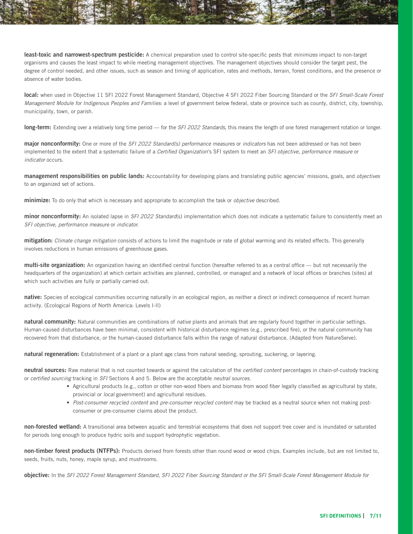least-toxic and narrowest-spectrum pesticide: A chemical preparation used to control site-specific pests that *minimizes* impact to non-target organisms and causes the least impact to while meeting management objectives. The management objectives should consider the target pest, the degree of control needed, and other issues, such as season and timing of application, rates and methods, terrain, forest conditions, and the presence or absence of water bodies.

local: when used in Objective 11 SFI 2022 Forest Management Standard, Objective 4 SFI 2022 Fiber Sourcing Standard or the *SFI Small-Scale Forest Management Module for Indigenous Peoples and Families*: a level of government below federal, state or province such as county, district, city, township, municipality, town, or parish.

long-term: Extending over a relatively long time period — for the *SFI 2022 Standards*, this means the length of one forest management rotation or longer.

major nonconformity: One or more of the *SFI 2022 Standard(s) performance measures* or *indicators* has not been addressed or has not been implemented to the extent that a systematic failure of a Certified Organization's SFI system to meet an SFI objective, performance measure or *indicator* occurs.

management responsibilities on public lands: Accountability for developing plans and translating public agencies' missions, goals, and objectives to an organized set of actions.

minimize: To do only that which is necessary and appropriate to accomplish the task or objective described.

minor nonconformity: An isolated lapse in *SFI 2022 Standard*(s) implementation which does not indicate a systematic failure to consistently meet an SFI objective, performance measure or *indicator.*

mitigation: *Climate change mitigation* consists of actions to limit the magnitude or rate of global warming and its related effects. This generally involves reductions in human emissions of greenhouse gases.

multi-site organization: An organization having an identified central function (hereafter referred to as a central office — but not necessarily the headquarters of the organization) at which certain activities are planned, controlled, or managed and a network of local offices or branches (sites) at which such activities are fully or partially carried out.

native: Species of ecological communities occurring naturally in an ecological region, as neither a direct or indirect consequence of recent human activity. (Ecological Regions of North America: Levels I-II)

natural community: Natural communities are combinations of *native* plants and animals that are regularly found together in particular settings. Human-caused disturbances have been minimal, consistent with historical disturbance regimes (e.g., prescribed fire), or the natural community has recovered from that disturbance, or the human-caused disturbance falls within the range of natural disturbance. (Adapted from NatureServe).

natural regeneration: Establishment of a plant or a plant age class from natural seeding, sprouting, suckering, or layering.

neutral sources: Raw material that is not counted towards or against the calculation of the *certified content* percentages in chain-of-custody tracking or certified sourcing tracking in *SFI* Sections 4 and 5. Below are the acceptable *neutral sources.*

- Agricultural products (e.g., cotton or other non-wood fibers and biomass from wood fiber legally classified as agricultural by state, provincial or *local* government) and agricultural residues.
- *Post-consumer recycled content* and *pre-consumer recycled content* may be tracked as a neutral source when not making postconsumer or pre-consumer claims about the product.

non-forested wetland: A transitional area between aquatic and terrestrial ecosystems that does not support tree cover and is inundated or saturated for periods long enough to produce hydric soils and support hydrophytic vegetation.

non-timber forest products (NTFPs): Products derived from forests other than round wood or wood chips. Examples include, but are not limited to, seeds, fruits, nuts, honey, maple syrup, and mushrooms.

objective: In the *SFI 2022 Forest Management Standard, SFI 2022 Fiber Sourcing Standard or the SFI Small-Scale Forest Management Module for*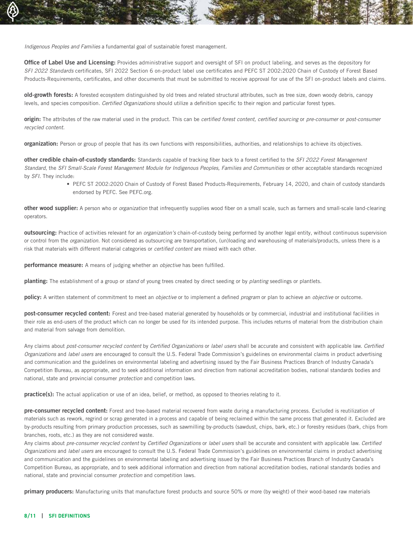*Indigenous Peoples and Families* a fundamental goal of sustainable forest management.

Office of Label Use and Licensing: Provides administrative support and oversight of SFI on product labeling, and serves as the depository for *SFI 2022 Standards* certificates, SFI 2022 Section 6 on-product label use certificates and PEFC ST 2002:2020 Chain of Custody of Forest Based Products-Requirements, certificates, and other documents that must be submitted to receive approval for use of the SFI on-product labels and claims.

old-growth forests: A forested ecosystem distinguished by old trees and related structural attributes, such as tree size, down woody debris, canopy levels, and species composition. Certified Organizations should utilize a definition specific to their region and particular forest types.

origin: The attributes of the raw material used in the product. This can be certified forest content, certified sourcing or *pre-consumer* or *post-consumer recycled content.* 

organization: Person or group of people that has its own functions with responsibilities, authorities, and relationships to achieve its objectives.

other credible chain-of-custody standards: Standards capable of tracking fiber back to a forest certified to the *SFI 2022 Forest Management Standard*, the *SFI Small-Scale Forest Management Module for Indigenous Peoples, Families and Communities* or other acceptable standards recognized by *SFI*. They include:

> • PEFC ST 2002:2020 Chain of Custody of Forest Based Products-Requirements, February 14, 2020, and chain of custody standards endorsed by PEFC. See PEFC.org.

other wood supplier: A person who or organization that infrequently supplies wood fiber on a small scale, such as farmers and small-scale land-clearing operators.

outsourcing: Practice of activities relevant for an organization's chain-of-custody being performed by another legal entity, without continuous supervision or control from the *organization*. Not considered as outsourcing are transportation, (un)loading and warehousing of materials/products, unless there is a risk that materials with different material categories or *certified content* are mixed with each other.

**performance measure:** A means of judging whether an *objective* has been fulfilled.

planting: The establishment of a group or *stand* of young trees created by direct seeding or by *planting* seedlings or plantlets.

policy: A written statement of commitment to meet an objective or to implement a defined *program* or plan to achieve an objective or outcome.

post-consumer recycled content: Forest and tree-based material generated by households or by commercial, industrial and institutional facilities in their role as end-users of the product which can no longer be used for its intended purpose. This includes returns of material from the distribution chain and material from salvage from demolition.

Any claims about *post-consumer recycled content* by Certified Organizations or *label users* shall be accurate and consistent with applicable law. Certified Organizations and *label users* are encouraged to consult the U.S. Federal Trade Commission's guidelines on environmental claims in product advertising and communication and the guidelines on environmental labeling and advertising issued by the Fair Business Practices Branch of Industry Canada's Competition Bureau, as appropriate, and to seek additional information and direction from national accreditation bodies, national standards bodies and national, state and provincial consumer *protection* and competition laws.

**practice(s):** The actual application or use of an idea, belief, or method, as opposed to theories relating to it.

pre-consumer recycled content: Forest and tree-based material recovered from waste during a manufacturing process. Excluded is reutilization of materials such as rework, regrind or scrap generated in a process and capable of being reclaimed within the same process that generated it. Excluded are by-products resulting from primary production processes, such as sawmilling by-products (sawdust, chips, bark, etc.) or forestry residues (bark, chips from branches, roots, etc.) as they are not considered waste.

Any claims about *pre-consumer recycled content* by Certified Organizations or *label users* shall be accurate and consistent with applicable law. Certified Organizations and *label users* are encouraged to consult the U.S. Federal Trade Commission's guidelines on environmental claims in product advertising and communication and the guidelines on environmental labeling and advertising issued by the Fair Business Practices Branch of Industry Canada's Competition Bureau, as appropriate, and to seek additional information and direction from national accreditation bodies, national standards bodies and national, state and provincial consumer *protection* and competition laws.

primary producers: Manufacturing units that manufacture forest products and source 50% or more (by weight) of their wood-based raw materials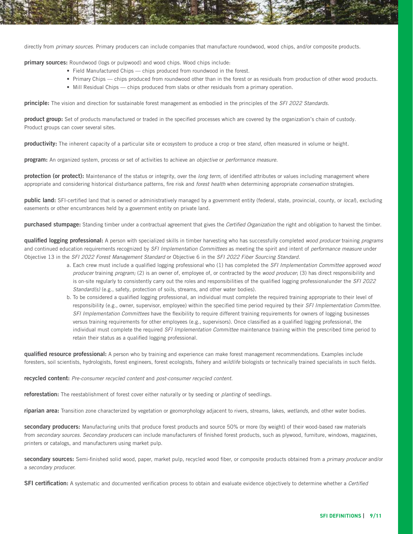directly from *primary sources.* Primary producers can include companies that manufacture roundwood, wood chips, and/or composite products.

primary sources: Roundwood (logs or pulpwood) and wood chips. Wood chips include:

- Field Manufactured Chips chips produced from roundwood in the forest.
- Primary Chips chips produced from roundwood other than in the forest or as residuals from production of other wood products.
- Mill Residual Chips chips produced from slabs or other residuals from a primary operation.

principle: The vision and direction for sustainable forest management as embodied in the principles of the *SFI 2022 Standards.*

product group: Set of products manufactured or traded in the specified processes which are covered by the organization's chain of custody. Product groups can cover several sites.

productivity: The inherent capacity of a particular site or ecosystem to produce a crop or tree *stand,* often measured in volume or height.

program: An organized system, process or set of activities to achieve an objective or *performance measure.* 

protection (or protect): Maintenance of the status or integrity, over the *long term,* of identified attributes or values including management where appropriate and considering historical disturbance patterns, fire risk and *forest health* when determining appropriate *conservation* strategies.

public land: SFI-certified land that is owned or administratively managed by a government entity (federal, state, provincial, county, or *local*), excluding easements or other encumbrances held by a government entity on private land.

purchased stumpage: Standing timber under a contractual agreement that gives the Certified Organization the right and obligation to harvest the timber.

qualified logging professional: A person with specialized skills in timber harvesting who has successfully completed *wood producer* training *programs* and continued education requirements recognized by *SFI Implementation Committees* as meeting the spirit and intent of *performance measure* under Objective 13 in the *SFI 2022 Forest Management Standard* or Objective 6 in the *SFI 2022 Fiber Sourcing Standard.*

- a. Each crew must include a qualified logging professional who (1) has completed the *SFI Implementation Committee* approved *wood producer* training *program;* (2) is an owner of, employee of, or contracted by the *wood producer*; (3) has direct responsibility and is on-site regularly to consistently carry out the roles and responsibilities of the qualified logging professionalunder the *SFI 2022 Standard(s)* (e.g., safety, protection of soils, streams, and other water bodies).
- b. To be considered a qualified logging professional, an individual must complete the required training appropriate to their level of responsibility (e.g., owner, supervisor, employee) within the specified time period required by their *SFI Implementation Committee. SFI Implementation Committees* have the flexibility to require different training requirements for owners of logging businesses versus training requirements for other employees (e.g., supervisors). Once classified as a qualified logging professional, the individual must complete the required *SFI Implementation Committee* maintenance training within the prescribed time period to retain their status as a qualified logging professional*.*

qualified resource professional: A person who by training and experience can make forest management recommendations. Examples include foresters, soil scientists, hydrologists, forest engineers, forest ecologists, fishery and *wildlife* biologists or technically trained specialists in such fields.

recycled content: *Pre-consumer recycled content* and *post-consumer recycled content.*

reforestation: The reestablishment of forest cover either naturally or by seeding or *planting* of seedlings.

riparian area: Transition zone characterized by vegetation or geomorphology adjacent to rivers, streams, lakes, *wetlands,* and other water bodies.

secondary producers: Manufacturing units that produce forest products and source 50% or more (by weight) of their wood-based raw materials from *secondary sources. Secondary producers* can include manufacturers of finished forest products, such as plywood, furniture, windows, magazines, printers or catalogs, and manufacturers using market pulp.

secondary sources: Semi-finished solid wood, paper, market pulp, recycled wood fiber, or composite products obtained from a *primary producer* and/or a *secondary producer.* 

SFI certification: A systematic and documented verification process to obtain and evaluate evidence objectively to determine whether a Certified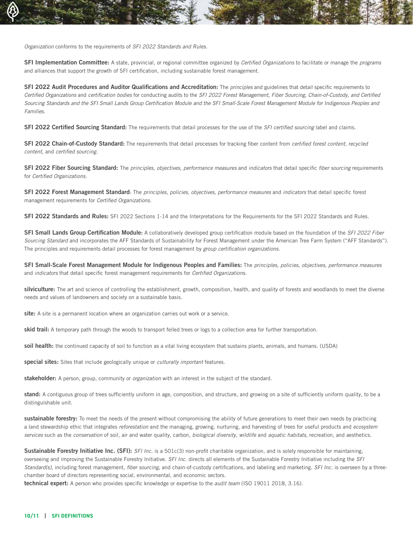Organization conforms to the requirements of *SFI 2022 Standards and Rules.*

SFI Implementation Committee: A state, provincial, or regional committee organized by Certified Organizations to facilitate or manage the *programs* and alliances that support the growth of SFI certification, including sustainable forest management.

SFI 2022 Audit Procedures and Auditor Qualifications and Accreditation: The *principles* and guidelines that detail specific requirements to Certified Organizations and certification bodies for conducting audits to the SFI 2022 Forest Management, Fiber Sourcing, Chain-of-Custody, and Certified Sourcing Standards and the SFI Small Lands Group Certification Module and the SFI Small-Scale Forest Management Module for Indigenous Peoples and *Families.*

SFI 2022 Certified Sourcing Standard: The requirements that detail processes for the use of the SFI certified sourcing label and claims.

SFI 2022 Chain-of-Custody Standard: The requirements that detail processes for tracking fiber content from certified forest content, recycled *content,* and certified sourcing.

SFI 2022 Fiber Sourcing Standard: The principles, objectives, performance measures and indicators that detail specific fiber sourcing requirements for Certified Organizations.

SFI 2022 Forest Management Standard: The principles, policies, objectives, performance measures and *indicators* that detail specific forest management requirements for Certified Organizations.

SFI 2022 Standards and Rules: SFI 2022 Sections 1-14 and the Interpretations for the Requirements for the SFI 2022 Standards and Rules.

SFI Small Lands Group Certification Module: A collaboratively developed group certification module based on the foundation of the *SFI 2022 Fiber*  Sourcing Standard and incorporates the AFF Standards of Sustainability for Forest Management under the American Tree Farm System ("AFF Standards"). The principles and requirements detail processes for forest management by group certification organizations.

SFI Small-Scale Forest Management Module for Indigenous Peoples and Families: The principles, policies, objectives, performance measures and *indicators* that detail specific forest management requirements for Certified Organizations.

silviculture: The art and science of controlling the establishment, growth, composition, health, and quality of forests and woodlands to meet the diverse needs and values of landowners and society on a sustainable basis.

site: A site is a permanent location where an organization carries out work or a service.

skid trail: A temporary path through the woods to transport felled trees or logs to a collection area for further transportation.

soil health: the continued capacity of soil to function as a vital living ecosystem that sustains plants, animals, and humans. (USDA)

special sites: Sites that include geologically unique or *culturally important* features.

stakeholder: A person, group, community or *organization* with an interest in the subject of the standard.

stand: A contiguous group of trees sufficiently uniform in age, composition, and structure, and growing on a site of sufficiently uniform quality, to be a distinguishable unit.

sustainable forestry: To meet the needs of the present without compromising the ability of future generations to meet their own needs by practicing a land stewardship ethic that integrates *reforestation* and the managing, growing, nurturing, and harvesting of trees for useful products and *ecosystem services* such as the *conservation* of soil, air and water quality, carbon, *biological diversity, wildlife* and *aquatic habitats*, recreation, and aesthetics.

Sustainable Forestry Initiative Inc. (SFI): *SFI Inc.* is a 501c(3) non-profit charitable organization, and is solely responsible for maintaining, overseeing and improving the Sustainable Forestry Initiative. *SFI Inc.* directs all elements of the Sustainable Forestry Initiative including the *SFI Standard(s),* including forest management, fiber sourcing, and chain-of-custody certifications, and labeling and marketing. *SFI Inc.* is overseen by a threechamber board of directors representing social, environmental, and economic sectors.

technical expert: A person who provides specific knowledge or expertise to the *audit team* (ISO 19011 2018, 3.16).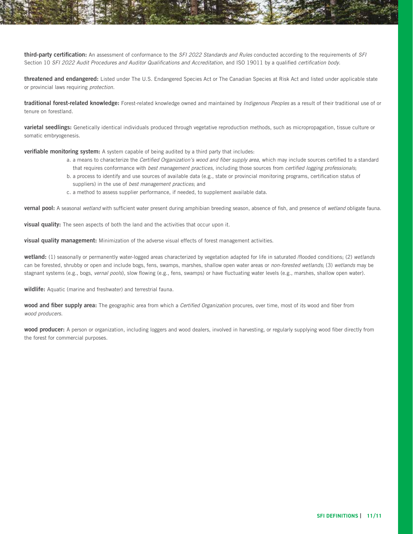third-party certification: An assessment of conformance to the *SFI 2022 Standards and Rules* conducted according to the requirements of *SFI*  Section 10 SFI 2022 Audit Procedures and Auditor Qualifications and Accreditation, and ISO 19011 by a qualified certification body.

threatened and endangered: Listed under The U.S. Endangered Species Act or The Canadian Species at Risk Act and listed under applicable state or provincial laws requiring *protection.*

traditional forest-related knowledge: Forest-related knowledge owned and maintained by *Indigenous Peoples* as a result of their traditional use of or tenure on forestland.

varietal seedlings: Genetically identical individuals produced through vegetative reproduction methods, such as micropropagation, tissue culture or somatic embryogenesis.

verifiable monitoring system: A system capable of being audited by a third party that includes:

- a. a means to characterize the Certified Organization's wood and fiber supply area, which may include sources certified to a standard that requires conformance with *best management practices*, including those sources from certified logging professionals;
- b. a process to identify and use sources of available data (e.g., state or provincial monitoring programs, certification status of suppliers) in the use of *best management practices*; and
- c. a method to assess supplier performance, if needed, to supplement available data.

vernal pool: A seasonal *wetland* with sufficient water present during amphibian breeding season, absence of fish, and presence of *wetland* obligate fauna.

**visual quality:** The seen aspects of both the land and the activities that occur upon it.

visual quality management: Minimization of the adverse visual effects of forest management activities.

wetland: (1) seasonally or permanently water-logged areas characterized by vegetation adapted for life in saturated /flooded conditions; (2) *wetlands* can be forested, shrubby or open and include bogs, fens, swamps, marshes, shallow open water areas or *non-forested wetlands*; (3) *wetlands* may be stagnant systems (e.g., bogs, *vernal pools*), slow flowing (e.g., fens, swamps) or have fluctuating water levels (e.g., marshes, shallow open water).

wildlife: Aquatic (marine and freshwater) and terrestrial fauna.

wood and fiber supply area: The geographic area from which a Certified Organization procures, over time, most of its wood and fiber from *wood producers.* 

wood producer: A person or organization, including loggers and wood dealers, involved in harvesting, or regularly supplying wood fiber directly from the forest for commercial purposes.